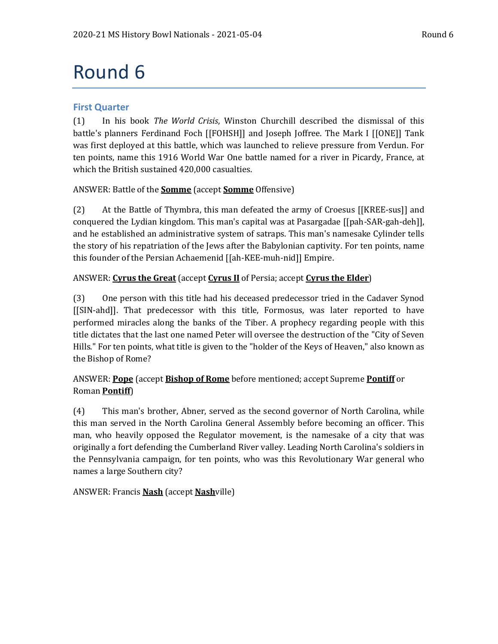# Round 6

# **First Quarter**

(1) In his book *The World Crisis*, Winston Churchill described the dismissal of this battle's planners Ferdinand Foch [[FOHSH]] and Joseph Joffree. The Mark I [[ONE]] Tank was first deployed at this battle, which was launched to relieve pressure from Verdun. For ten points, name this 1916 World War One battle named for a river in Picardy, France, at which the British sustained 420,000 casualties.

# ANSWER: Battle of the **Somme** (accept **Somme** Offensive)

(2) At the Battle of Thymbra, this man defeated the army of Croesus [[KREE-sus]] and conquered the Lydian kingdom. This man's capital was at Pasargadae [[pah-SAR-gah-deh]], and he established an administrative system of satraps. This man's namesake Cylinder tells the story of his repatriation of the Jews after the Babylonian captivity. For ten points, name this founder of the Persian Achaemenid [[ah-KEE-muh-nid]] Empire.

# ANSWER: **Cyrus the Great** (accept **Cyrus II** of Persia; accept **Cyrus the Elder**)

(3) One person with this title had his deceased predecessor tried in the Cadaver Synod [[SIN-ahd]]. That predecessor with this title, Formosus, was later reported to have performed miracles along the banks of the Tiber. A prophecy regarding people with this title dictates that the last one named Peter will oversee the destruction of the "City of Seven Hills." For ten points, what title is given to the "holder of the Keys of Heaven," also known as the Bishop of Rome?

# ANSWER: **Pope** (accept **Bishop of Rome** before mentioned; accept Supreme **Pontiff** or Roman **Pontiff**)

(4) This man's brother, Abner, served as the second governor of North Carolina, while this man served in the North Carolina General Assembly before becoming an officer. This man, who heavily opposed the Regulator movement, is the namesake of a city that was originally a fort defending the Cumberland River valley. Leading North Carolina's soldiers in the Pennsylvania campaign, for ten points, who was this Revolutionary War general who names a large Southern city?

# ANSWER: Francis **Nash** (accept **Nash**ville)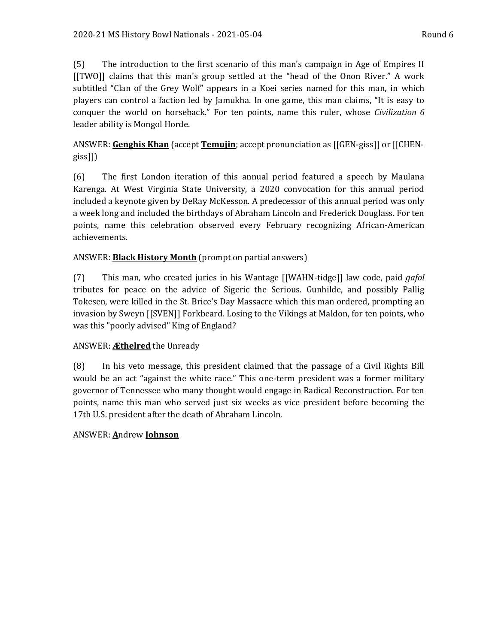(5) The introduction to the first scenario of this man's campaign in Age of Empires II [[TWO]] claims that this man's group settled at the "head of the Onon River." A work subtitled "Clan of the Grey Wolf" appears in a Koei series named for this man, in which players can control a faction led by Jamukha. In one game, this man claims, "It is easy to conquer the world on horseback." For ten points, name this ruler, whose *Civilization 6* leader ability is Mongol Horde.

# ANSWER: **Genghis Khan** (accept **Temujin**; accept pronunciation as [[GEN-giss]] or [[CHENgiss]])

(6) The first London iteration of this annual period featured a speech by Maulana Karenga. At West Virginia State University, a 2020 convocation for this annual period included a keynote given by DeRay McKesson. A predecessor of this annual period was only a week long and included the birthdays of Abraham Lincoln and Frederick Douglass. For ten points, name this celebration observed every February recognizing African-American achievements.

# ANSWER: **Black History Month** (prompt on partial answers)

(7) This man, who created juries in his Wantage [[WAHN-tidge]] law code, paid *gafol* tributes for peace on the advice of Sigeric the Serious. Gunhilde, and possibly Pallig Tokesen, were killed in the St. Brice's Day Massacre which this man ordered, prompting an invasion by Sweyn [[SVEN]] Forkbeard. Losing to the Vikings at Maldon, for ten points, who was this "poorly advised" King of England?

# ANSWER: **Æthelred** the Unready

(8) In his veto message, this president claimed that the passage of a Civil Rights Bill would be an act "against the white race." This one-term president was a former military governor of Tennessee who many thought would engage in Radical Reconstruction. For ten points, name this man who served just six weeks as vice president before becoming the 17th U.S. president after the death of Abraham Lincoln.

# ANSWER: **A**ndrew **Johnson**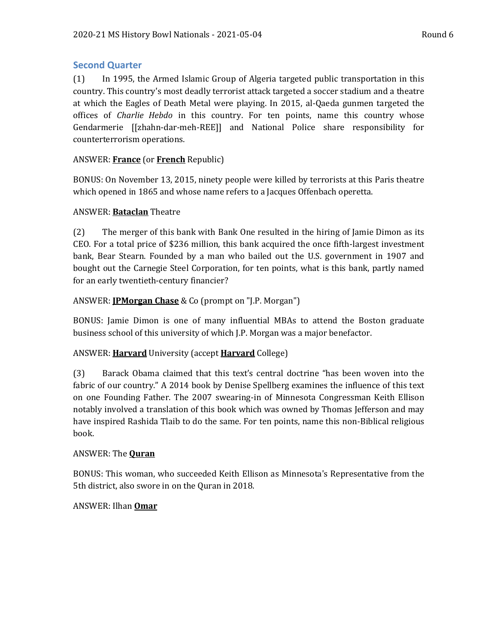# **Second Quarter**

(1) In 1995, the Armed Islamic Group of Algeria targeted public transportation in this country. This country's most deadly terrorist attack targeted a soccer stadium and a theatre at which the Eagles of Death Metal were playing. In 2015, al-Qaeda gunmen targeted the offices of *Charlie Hebdo* in this country. For ten points, name this country whose Gendarmerie [[zhahn-dar-meh-REE]] and National Police share responsibility for counterterrorism operations.

#### ANSWER: **France** (or **French** Republic)

BONUS: On November 13, 2015, ninety people were killed by terrorists at this Paris theatre which opened in 1865 and whose name refers to a Jacques Offenbach operetta.

#### ANSWER: **Bataclan** Theatre

(2) The merger of this bank with Bank One resulted in the hiring of Jamie Dimon as its CEO. For a total price of \$236 million, this bank acquired the once fifth-largest investment bank, Bear Stearn. Founded by a man who bailed out the U.S. government in 1907 and bought out the Carnegie Steel Corporation, for ten points, what is this bank, partly named for an early twentieth-century financier?

#### ANSWER: **JPMorgan Chase** & Co (prompt on "J.P. Morgan")

BONUS: Jamie Dimon is one of many influential MBAs to attend the Boston graduate business school of this university of which J.P. Morgan was a major benefactor.

#### ANSWER: **Harvard** University (accept **Harvard** College)

(3) Barack Obama claimed that this text's central doctrine "has been woven into the fabric of our country." A 2014 book by Denise Spellberg examines the influence of this text on one Founding Father. The 2007 swearing-in of Minnesota Congressman Keith Ellison notably involved a translation of this book which was owned by Thomas Jefferson and may have inspired Rashida Tlaib to do the same. For ten points, name this non-Biblical religious book.

#### ANSWER: The **Quran**

BONUS: This woman, who succeeded Keith Ellison as Minnesota's Representative from the 5th district, also swore in on the Quran in 2018.

#### ANSWER: Ilhan **Omar**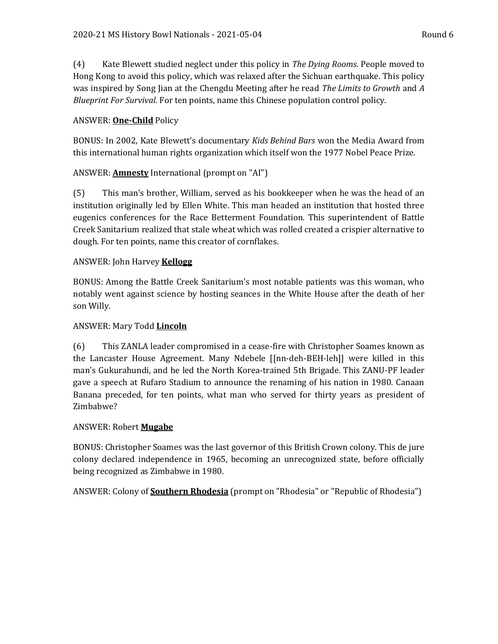(4) Kate Blewett studied neglect under this policy in *The Dying Rooms*. People moved to Hong Kong to avoid this policy, which was relaxed after the Sichuan earthquake. This policy was inspired by Song Jian at the Chengdu Meeting after he read *The Limits to Growth* and *A Blueprint For Survival*. For ten points, name this Chinese population control policy.

# ANSWER: **One-Child** Policy

BONUS: In 2002, Kate Blewett's documentary *Kids Behind Bars* won the Media Award from this international human rights organization which itself won the 1977 Nobel Peace Prize.

# ANSWER: **Amnesty** International (prompt on "AI")

(5) This man's brother, William, served as his bookkeeper when he was the head of an institution originally led by Ellen White. This man headed an institution that hosted three eugenics conferences for the Race Betterment Foundation. This superintendent of Battle Creek Sanitarium realized that stale wheat which was rolled created a crispier alternative to dough. For ten points, name this creator of cornflakes.

# ANSWER: John Harvey **Kellogg**

BONUS: Among the Battle Creek Sanitarium's most notable patients was this woman, who notably went against science by hosting seances in the White House after the death of her son Willy.

### ANSWER: Mary Todd **Lincoln**

(6) This ZANLA leader compromised in a cease-fire with Christopher Soames known as the Lancaster House Agreement. Many Ndebele [[nn-deh-BEH-leh]] were killed in this man's Gukurahundi, and he led the North Korea-trained 5th Brigade. This ZANU-PF leader gave a speech at Rufaro Stadium to announce the renaming of his nation in 1980. Canaan Banana preceded, for ten points, what man who served for thirty years as president of Zimbabwe?

#### ANSWER: Robert **Mugabe**

BONUS: Christopher Soames was the last governor of this British Crown colony. This de jure colony declared independence in 1965, becoming an unrecognized state, before officially being recognized as Zimbabwe in 1980.

ANSWER: Colony of **Southern Rhodesia** (prompt on "Rhodesia" or "Republic of Rhodesia")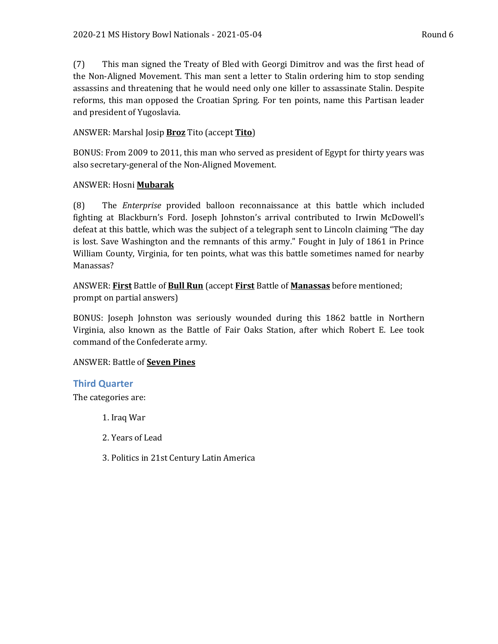(7) This man signed the Treaty of Bled with Georgi Dimitrov and was the first head of the Non-Aligned Movement. This man sent a letter to Stalin ordering him to stop sending assassins and threatening that he would need only one killer to assassinate Stalin. Despite reforms, this man opposed the Croatian Spring. For ten points, name this Partisan leader and president of Yugoslavia.

# ANSWER: Marshal Josip **Broz** Tito (accept **Tito**)

BONUS: From 2009 to 2011, this man who served as president of Egypt for thirty years was also secretary-general of the Non-Aligned Movement.

#### ANSWER: Hosni **Mubarak**

(8) The *Enterprise* provided balloon reconnaissance at this battle which included fighting at Blackburn's Ford. Joseph Johnston's arrival contributed to Irwin McDowell's defeat at this battle, which was the subject of a telegraph sent to Lincoln claiming "The day is lost. Save Washington and the remnants of this army." Fought in July of 1861 in Prince William County, Virginia, for ten points, what was this battle sometimes named for nearby Manassas?

ANSWER: **First** Battle of **Bull Run** (accept **First** Battle of **Manassas** before mentioned; prompt on partial answers)

BONUS: Joseph Johnston was seriously wounded during this 1862 battle in Northern Virginia, also known as the Battle of Fair Oaks Station, after which Robert E. Lee took command of the Confederate army.

#### ANSWER: Battle of **Seven Pines**

#### **Third Quarter**

The categories are:

- 1. Iraq War
- 2. Years of Lead
- 3. Politics in 21st Century Latin America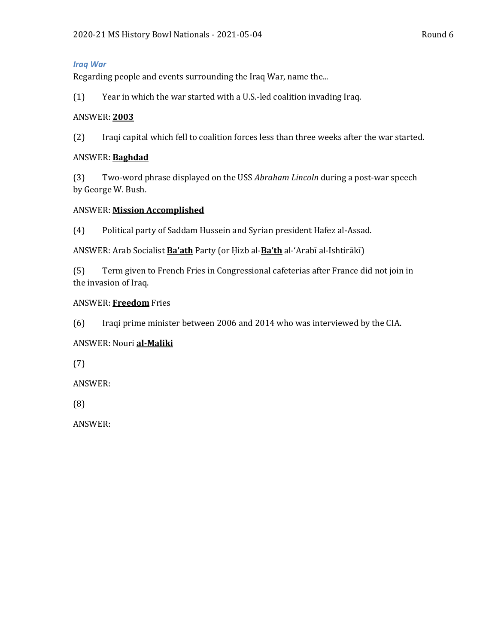#### *Iraq War*

Regarding people and events surrounding the Iraq War, name the...

(1) Year in which the war started with a U.S.-led coalition invading Iraq.

#### ANSWER: **2003**

(2) Iraqi capital which fell to coalition forces less than three weeks after the war started.

#### ANSWER: **Baghdad**

(3) Two-word phrase displayed on the USS *Abraham Lincoln* during a post-war speech by George W. Bush.

# ANSWER: **Mission Accomplished**

(4) Political party of Saddam Hussein and Syrian president Hafez al-Assad.

ANSWER: Arab Socialist **Ba'ath** Party (or Ḥizb al-**Ba'th** al-'Arabī al-Ishtirākī)

(5) Term given to French Fries in Congressional cafeterias after France did not join in the invasion of Iraq.

# ANSWER: **Freedom** Fries

(6) Iraqi prime minister between 2006 and 2014 who was interviewed by the CIA.

# ANSWER: Nouri **al-Maliki**

(7)

ANSWER:

(8)

ANSWER: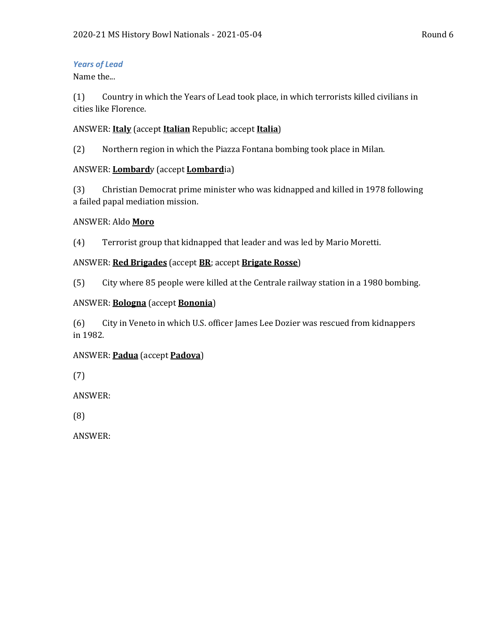# *Years of Lead*

Name the...

(1) Country in which the Years of Lead took place, in which terrorists killed civilians in cities like Florence.

# ANSWER: **Italy** (accept **Italian** Republic; accept **Italia**)

(2) Northern region in which the Piazza Fontana bombing took place in Milan.

# ANSWER: **Lombard**y (accept **Lombard**ia)

(3) Christian Democrat prime minister who was kidnapped and killed in 1978 following a failed papal mediation mission.

#### ANSWER: Aldo **Moro**

(4) Terrorist group that kidnapped that leader and was led by Mario Moretti.

# ANSWER: **Red Brigades** (accept **BR**; accept **Brigate Rosse**)

(5) City where 85 people were killed at the Centrale railway station in a 1980 bombing.

#### ANSWER: **Bologna** (accept **Bononia**)

(6) City in Veneto in which U.S. officer James Lee Dozier was rescued from kidnappers in 1982.

# ANSWER: **Padua** (accept **Padova**)

(7)

ANSWER:

(8)

ANSWER: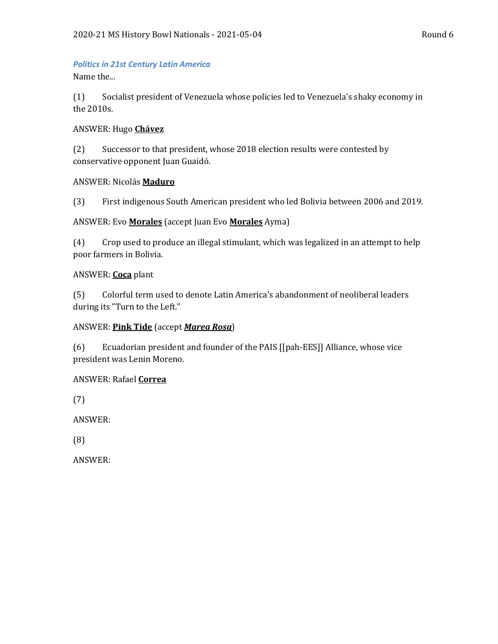#### *Politics in 21st Century Latin America*

Name the...

(1) Socialist president of Venezuela whose policies led to Venezuela's shaky economy in the 2010s.

#### ANSWER: Hugo **Chávez**

(2) Successor to that president, whose 2018 election results were contested by conservative opponent Juan Guaidó.

#### ANSWER: Nicolás **Maduro**

(3) First indigenous South American president who led Bolivia between 2006 and 2019.

#### ANSWER: Evo **Morales** (accept Juan Evo **Morales** Ayma)

(4) Crop used to produce an illegal stimulant, which was legalized in an attempt to help poor farmers in Bolivia.

#### ANSWER: **Coca** plant

(5) Colorful term used to denote Latin America's abandonment of neoliberal leaders during its "Turn to the Left."

#### ANSWER: **Pink Tide** (accept *Marea Rosa*)

(6) Ecuadorian president and founder of the PAIS [[pah-EES]] Alliance, whose vice president was Lenin Moreno.

#### ANSWER: Rafael **Correa**

(7)

ANSWER:

(8)

ANSWER: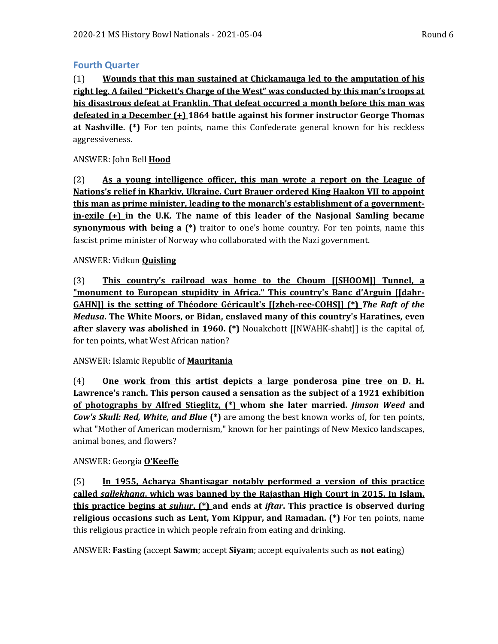# **Fourth Quarter**

(1) **Wounds that this man sustained at Chickamauga led to the amputation of his right leg. A failed "Pickett's Charge of the West" was conducted by this man's troops at his disastrous defeat at Franklin. That defeat occurred a month before this man was defeated in a December (+) 1864 battle against his former instructor George Thomas at Nashville. (\*)** For ten points, name this Confederate general known for his reckless aggressiveness.

# ANSWER: John Bell **Hood**

(2) **As a young intelligence officer, this man wrote a report on the League of Nations's relief in Kharkiv, Ukraine. Curt Brauer ordered King Haakon VII to appoint this man as prime minister, leading to the monarch's establishment of a governmentin-exile (+) in the U.K. The name of this leader of the Nasjonal Samling became synonymous with being a (\*)** traitor to one's home country. For ten points, name this fascist prime minister of Norway who collaborated with the Nazi government.

#### ANSWER: Vidkun **Quisling**

(3) **This country's railroad was home to the Choum [[SHOOM]] Tunnel, a "monument to European stupidity in Africa." This country's Banc d'Arguin [[dahr-GAHN]] is the setting of Théodore Géricault's [[zheh-ree-COHS]] (\*)** *The Raft of the Medusa***. The White Moors, or Bidan, enslaved many of this country's Haratines, even after slavery was abolished in 1960. (\*)** Nouakchott [[NWAHK-shaht]] is the capital of, for ten points, what West African nation?

#### ANSWER: Islamic Republic of **Mauritania**

(4) **One work from this artist depicts a large ponderosa pine tree on D. H. Lawrence's ranch. This person caused a sensation as the subject of a 1921 exhibition of photographs by Alfred Stieglitz, (\*) whom she later married.** *Jimson Weed* **and**  *Cow's Skull: Red, White, and Blue* **(\*)** are among the best known works of, for ten points, what "Mother of American modernism," known for her paintings of New Mexico landscapes, animal bones, and flowers?

#### ANSWER: Georgia **O'Keeffe**

(5) **In 1955, Acharya Shantisagar notably performed a version of this practice called** *sallekhana***, which was banned by the Rajasthan High Court in 2015. In Islam, this practice begins at** *suhur***, (\*) and ends at** *iftar***. This practice is observed during religious occasions such as Lent, Yom Kippur, and Ramadan. (\*)** For ten points, name this religious practice in which people refrain from eating and drinking.

ANSWER: **Fast**ing (accept **Sawm**; accept **Siyam**; accept equivalents such as **not eat**ing)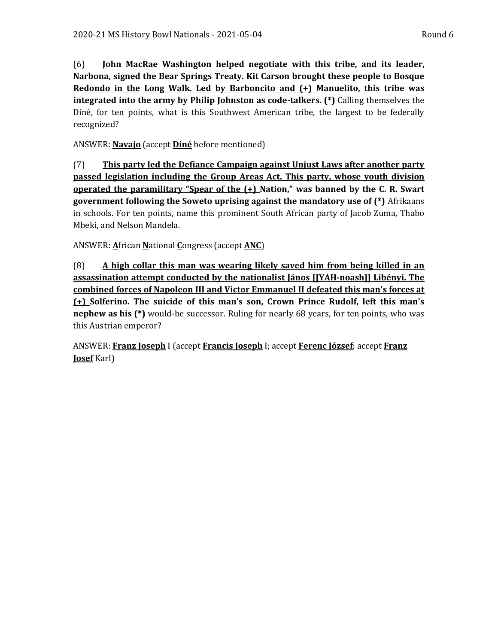(6) **John MacRae Washington helped negotiate with this tribe, and its leader, Narbona, signed the Bear Springs Treaty. Kit Carson brought these people to Bosque Redondo in the Long Walk. Led by Barboncito and (+) Manuelito, this tribe was integrated into the army by Philip Johnston as code-talkers. (\*)** Calling themselves the Diné, for ten points, what is this Southwest American tribe, the largest to be federally recognized?

ANSWER: **Navajo** (accept **Diné** before mentioned)

(7) **This party led the Defiance Campaign against Unjust Laws after another party passed legislation including the Group Areas Act. This party, whose youth division operated the paramilitary "Spear of the (+) Nation," was banned by the C. R. Swart government following the Soweto uprising against the mandatory use of (\*)** Afrikaans in schools. For ten points, name this prominent South African party of Jacob Zuma, Thabo Mbeki, and Nelson Mandela.

ANSWER: **A**frican **N**ational **C**ongress (accept **ANC**)

(8) **A high collar this man was wearing likely saved him from being killed in an assassination attempt conducted by the nationalist János [[YAH-noash]] Libényi. The combined forces of Napoleon III and Victor Emmanuel II defeated this man's forces at (+) Solferino. The suicide of this man's son, Crown Prince Rudolf, left this man's nephew as his (\*)** would-be successor. Ruling for nearly 68 years, for ten points, who was this Austrian emperor?

ANSWER: **Franz Joseph** I (accept **Francis Joseph** I; accept **Ferenc József**; accept **Franz Josef** Karl)